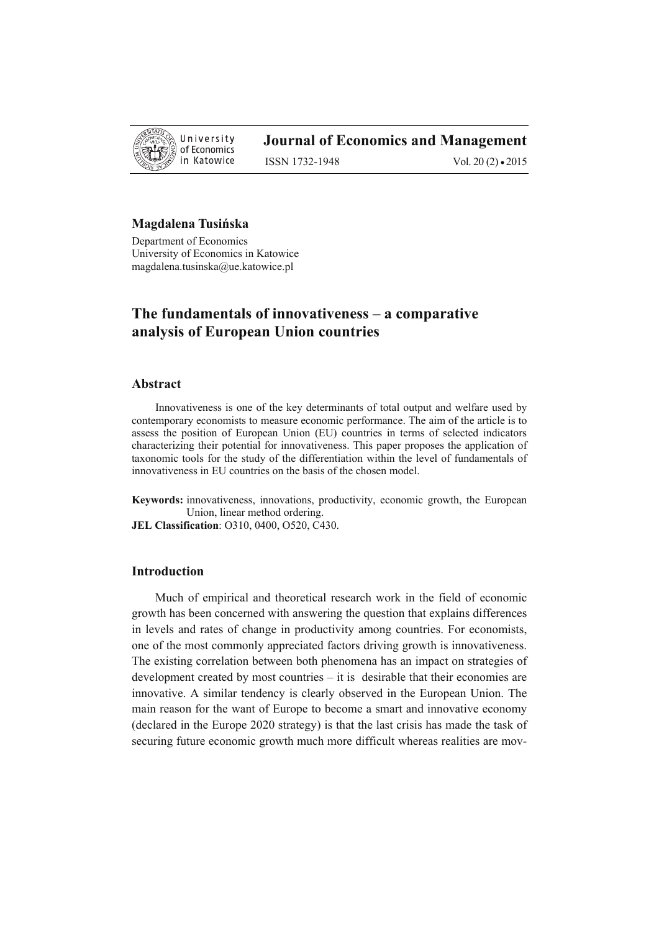

ISSN 1732-1948 Vol. 20 (2) • 2015

## **Magdalena Tusińska**

Department of Economics University of Economics in Katowice magdalena.tusinska@ue.katowice.pl

## **The fundamentals of innovativeness – a comparative analysis of European Union countries**

#### **Abstract**

Innovativeness is one of the key determinants of total output and welfare used by contemporary economists to measure economic performance. The aim of the article is to assess the position of European Union (EU) countries in terms of selected indicators characterizing their potential for innovativeness. This paper proposes the application of taxonomic tools for the study of the differentiation within the level of fundamentals of innovativeness in EU countries on the basis of the chosen model.

**Keywords:** innovativeness, innovations, productivity, economic growth, the European Union, linear method ordering.

**JEL Classification**: O310, 0400, O520, C430.

#### **Introduction**

Much of empirical and theoretical research work in the field of economic growth has been concerned with answering the question that explains differences in levels and rates of change in productivity among countries. For economists, one of the most commonly appreciated factors driving growth is innovativeness. The existing correlation between both phenomena has an impact on strategies of development created by most countries – it is desirable that their economies are innovative. A similar tendency is clearly observed in the European Union. The main reason for the want of Europe to become a smart and innovative economy (declared in the Europe 2020 strategy) is that the last crisis has made the task of securing future economic growth much more difficult whereas realities are mov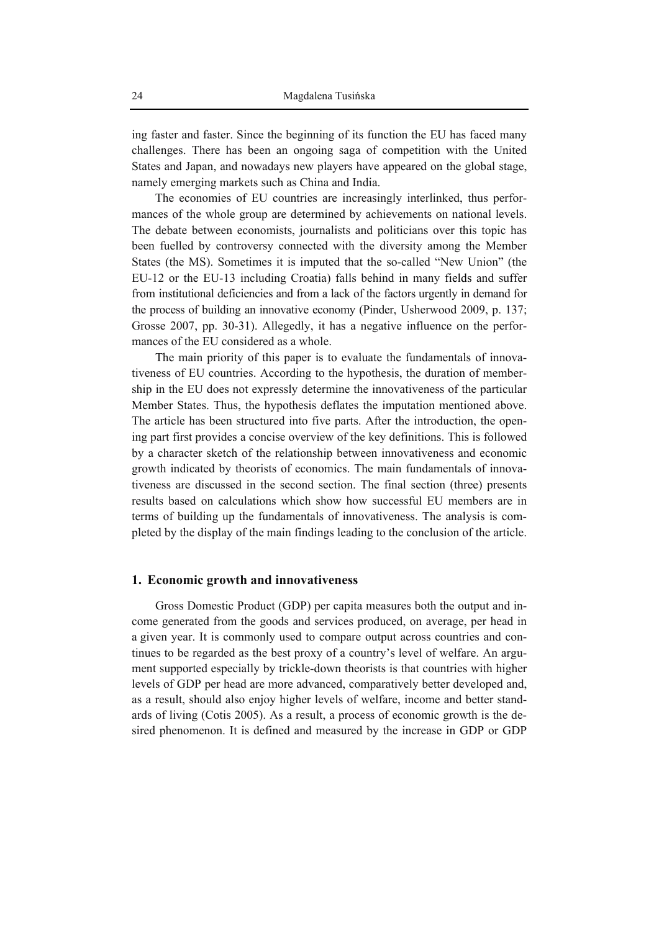ing faster and faster. Since the beginning of its function the EU has faced many challenges. There has been an ongoing saga of competition with the United States and Japan, and nowadays new players have appeared on the global stage, namely emerging markets such as China and India.

The economies of EU countries are increasingly interlinked, thus performances of the whole group are determined by achievements on national levels. The debate between economists, journalists and politicians over this topic has been fuelled by controversy connected with the diversity among the Member States (the MS). Sometimes it is imputed that the so-called "New Union" (the EU-12 or the EU-13 including Croatia) falls behind in many fields and suffer from institutional deficiencies and from a lack of the factors urgently in demand for the process of building an innovative economy (Pinder, Usherwood 2009, p. 137; Grosse 2007, pp. 30-31). Allegedly, it has a negative influence on the performances of the EU considered as a whole.

The main priority of this paper is to evaluate the fundamentals of innovativeness of EU countries. According to the hypothesis, the duration of membership in the EU does not expressly determine the innovativeness of the particular Member States. Thus, the hypothesis deflates the imputation mentioned above. The article has been structured into five parts. After the introduction, the opening part first provides a concise overview of the key definitions. This is followed by a character sketch of the relationship between innovativeness and economic growth indicated by theorists of economics. The main fundamentals of innovativeness are discussed in the second section. The final section (three) presents results based on calculations which show how successful EU members are in terms of building up the fundamentals of innovativeness. The analysis is completed by the display of the main findings leading to the conclusion of the article.

#### **1. Economic growth and innovativeness**

Gross Domestic Product (GDP) per capita measures both the output and income generated from the goods and services produced, on average, per head in a given year. It is commonly used to compare output across countries and continues to be regarded as the best proxy of a country's level of welfare. An argument supported especially by trickle-down theorists is that countries with higher levels of GDP per head are more advanced, comparatively better developed and, as a result, should also enjoy higher levels of welfare, income and better standards of living (Cotis 2005). As a result, a process of economic growth is the desired phenomenon. It is defined and measured by the increase in GDP or GDP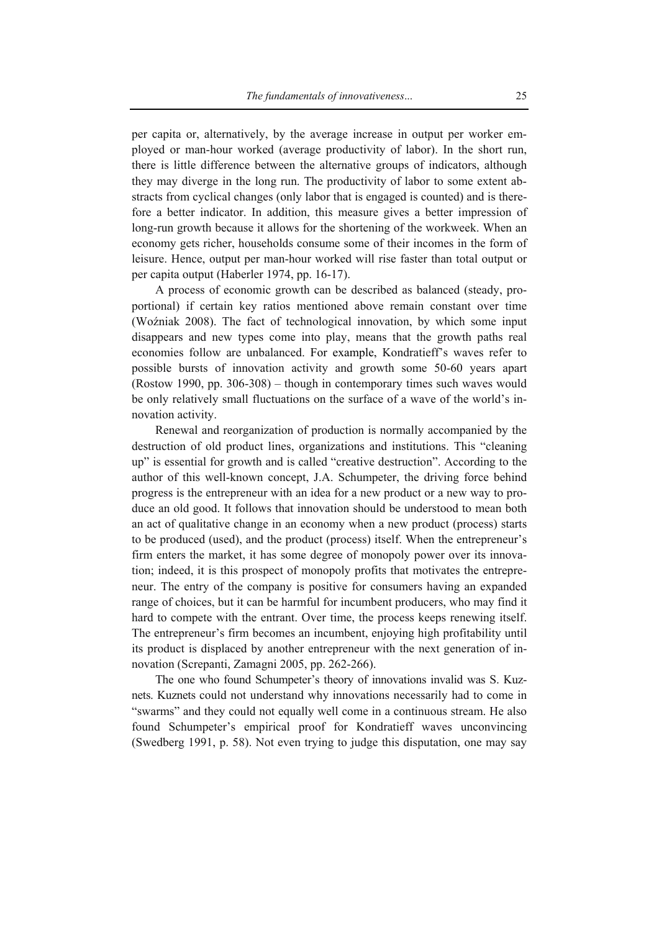per capita or, alternatively, by the average increase in output per worker employed or man-hour worked (average productivity of labor). In the short run, there is little difference between the alternative groups of indicators, although they may diverge in the long run. The productivity of labor to some extent abstracts from cyclical changes (only labor that is engaged is counted) and is therefore a better indicator. In addition, this measure gives a better impression of long-run growth because it allows for the shortening of the workweek. When an economy gets richer, households consume some of their incomes in the form of leisure. Hence, output per man-hour worked will rise faster than total output or per capita output (Haberler 1974, pp. 16-17).

A process of economic growth can be described as balanced (steady, proportional) if certain key ratios mentioned above remain constant over time (Woźniak 2008). The fact of technological innovation, by which some input disappears and new types come into play, means that the growth paths real economies follow are unbalanced. For example, Kondratieff's waves refer to possible bursts of innovation activity and growth some 50-60 years apart (Rostow 1990, pp. 306-308) – though in contemporary times such waves would be only relatively small fluctuations on the surface of a wave of the world's innovation activity.

Renewal and reorganization of production is normally accompanied by the destruction of old product lines, organizations and institutions. This "cleaning up" is essential for growth and is called "creative destruction". According to the author of this well-known concept, J.A. Schumpeter, the driving force behind progress is the entrepreneur with an idea for a new product or a new way to produce an old good. It follows that innovation should be understood to mean both an act of qualitative change in an economy when a new product (process) starts to be produced (used), and the product (process) itself. When the entrepreneur's firm enters the market, it has some degree of monopoly power over its innovation; indeed, it is this prospect of monopoly profits that motivates the entrepreneur. The entry of the company is positive for consumers having an expanded range of choices, but it can be harmful for incumbent producers, who may find it hard to compete with the entrant. Over time, the process keeps renewing itself. The entrepreneur's firm becomes an incumbent, enjoying high profitability until its product is displaced by another entrepreneur with the next generation of innovation (Screpanti, Zamagni 2005, pp. 262-266).

The one who found Schumpeter's theory of innovations invalid was S. Kuznets. Kuznets could not understand why innovations necessarily had to come in "swarms" and they could not equally well come in a continuous stream. He also found Schumpeter's empirical proof for Kondratieff waves unconvincing (Swedberg 1991, p. 58). Not even trying to judge this disputation, one may say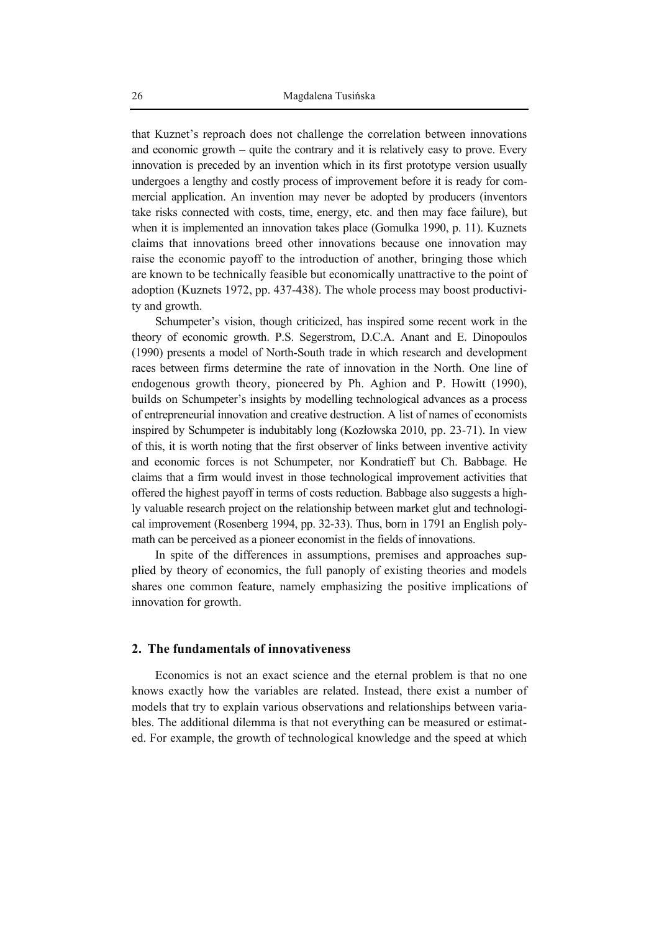that Kuznet's reproach does not challenge the correlation between innovations and economic growth – quite the contrary and it is relatively easy to prove. Every innovation is preceded by an invention which in its first prototype version usually undergoes a lengthy and costly process of improvement before it is ready for commercial application. An invention may never be adopted by producers (inventors take risks connected with costs, time, energy, etc. and then may face failure), but when it is implemented an innovation takes place (Gomulka 1990, p. 11). Kuznets claims that innovations breed other innovations because one innovation may raise the economic payoff to the introduction of another, bringing those which are known to be technically feasible but economically unattractive to the point of adoption (Kuznets 1972, pp. 437-438). The whole process may boost productivity and growth.

Schumpeter's vision, though criticized, has inspired some recent work in the theory of economic growth. P.S. Segerstrom, D.C.A. Anant and E. Dinopoulos (1990) presents a model of North-South trade in which research and development races between firms determine the rate of innovation in the North. One line of endogenous growth theory, pioneered by Ph. Aghion and P. Howitt (1990), builds on Schumpeter's insights by modelling technological advances as a process of entrepreneurial innovation and creative destruction. A list of names of economists inspired by Schumpeter is indubitably long (Kozłowska 2010, pp. 23-71). In view of this, it is worth noting that the first observer of links between inventive activity and economic forces is not Schumpeter, nor Kondratieff but Ch. Babbage. He claims that a firm would invest in those technological improvement activities that offered the highest payoff in terms of costs reduction. Babbage also suggests a highly valuable research project on the relationship between market glut and technological improvement (Rosenberg 1994, pp. 32-33). Thus, born in 1791 an English polymath can be perceived as a pioneer economist in the fields of innovations.

In spite of the differences in assumptions, premises and approaches supplied by theory of economics, the full panoply of existing theories and models shares one common feature, namely emphasizing the positive implications of innovation for growth.

#### **2. The fundamentals of innovativeness**

Economics is not an exact science and the eternal problem is that no one knows exactly how the variables are related. Instead, there exist a number of models that try to explain various observations and relationships between variables. The additional dilemma is that not everything can be measured or estimated. For example, the growth of technological knowledge and the speed at which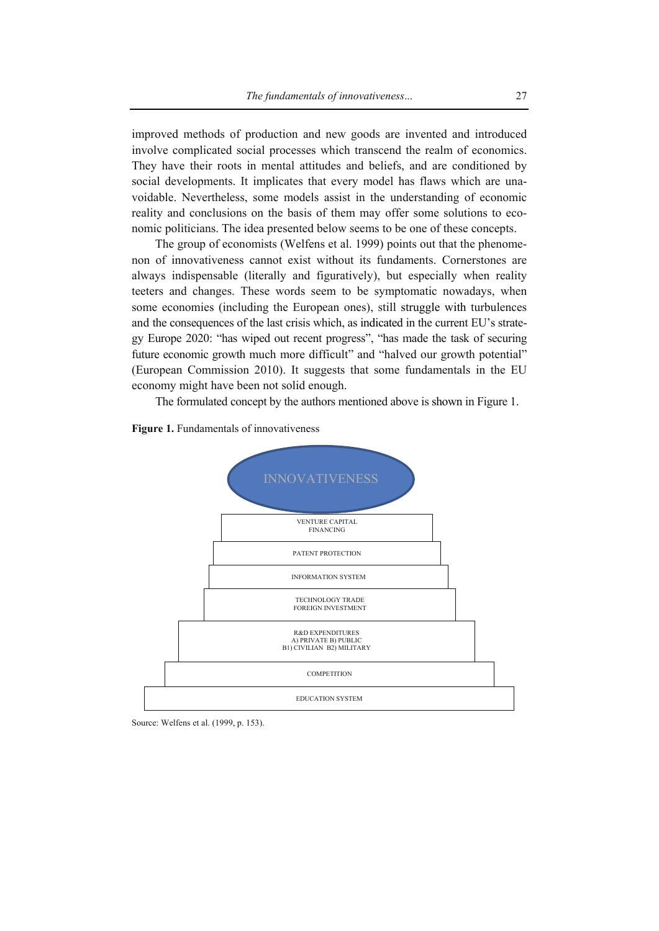improved methods of production and new goods are invented and introduced involve complicated social processes which transcend the realm of economics. They have their roots in mental attitudes and beliefs, and are conditioned by social developments. It implicates that every model has flaws which are unavoidable. Nevertheless, some models assist in the understanding of economic reality and conclusions on the basis of them may offer some solutions to economic politicians. The idea presented below seems to be one of these concepts.

The group of economists (Welfens et al. 1999) points out that the phenomenon of innovativeness cannot exist without its fundaments. Cornerstones are always indispensable (literally and figuratively), but especially when reality teeters and changes. These words seem to be symptomatic nowadays, when some economies (including the European ones), still struggle with turbulences and the consequences of the last crisis which, as indicated in the current EU's strategy Europe 2020: "has wiped out recent progress", "has made the task of securing future economic growth much more difficult" and "halved our growth potential" (European Commission 2010). It suggests that some fundamentals in the EU economy might have been not solid enough.

The formulated concept by the authors mentioned above is shown in Figure 1.





Source: Welfens et al. (1999, p. 153).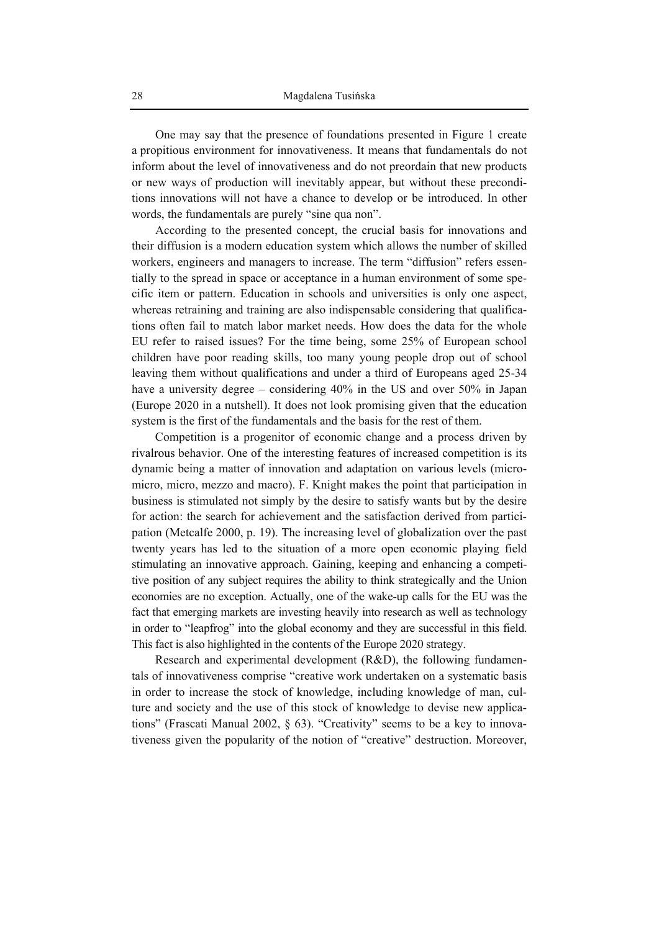One may say that the presence of foundations presented in Figure 1 create a propitious environment for innovativeness. It means that fundamentals do not inform about the level of innovativeness and do not preordain that new products or new ways of production will inevitably appear, but without these preconditions innovations will not have a chance to develop or be introduced. In other words, the fundamentals are purely "sine qua non".

According to the presented concept, the crucial basis for innovations and their diffusion is a modern education system which allows the number of skilled workers, engineers and managers to increase. The term "diffusion" refers essentially to the spread in space or acceptance in a human environment of some specific item or pattern. Education in schools and universities is only one aspect, whereas retraining and training are also indispensable considering that qualifications often fail to match labor market needs. How does the data for the whole EU refer to raised issues? For the time being, some 25% of European school children have poor reading skills, too many young people drop out of school leaving them without qualifications and under a third of Europeans aged 25-34 have a university degree – considering 40% in the US and over 50% in Japan (Europe 2020 in a nutshell). It does not look promising given that the education system is the first of the fundamentals and the basis for the rest of them.

Competition is a progenitor of economic change and a process driven by rivalrous behavior. One of the interesting features of increased competition is its dynamic being a matter of innovation and adaptation on various levels (micromicro, micro, mezzo and macro). F. Knight makes the point that participation in business is stimulated not simply by the desire to satisfy wants but by the desire for action: the search for achievement and the satisfaction derived from participation (Metcalfe 2000, p. 19). The increasing level of globalization over the past twenty years has led to the situation of a more open economic playing field stimulating an innovative approach. Gaining, keeping and enhancing a competitive position of any subject requires the ability to think strategically and the Union economies are no exception. Actually, one of the wake-up calls for the EU was the fact that emerging markets are investing heavily into research as well as technology in order to "leapfrog" into the global economy and they are successful in this field. This fact is also highlighted in the contents of the Europe 2020 strategy.

Research and experimental development (R&D), the following fundamentals of innovativeness comprise "creative work undertaken on a systematic basis in order to increase the stock of knowledge, including knowledge of man, culture and society and the use of this stock of knowledge to devise new applications" (Frascati Manual 2002, § 63). "Creativity" seems to be a key to innovativeness given the popularity of the notion of "creative" destruction. Moreover,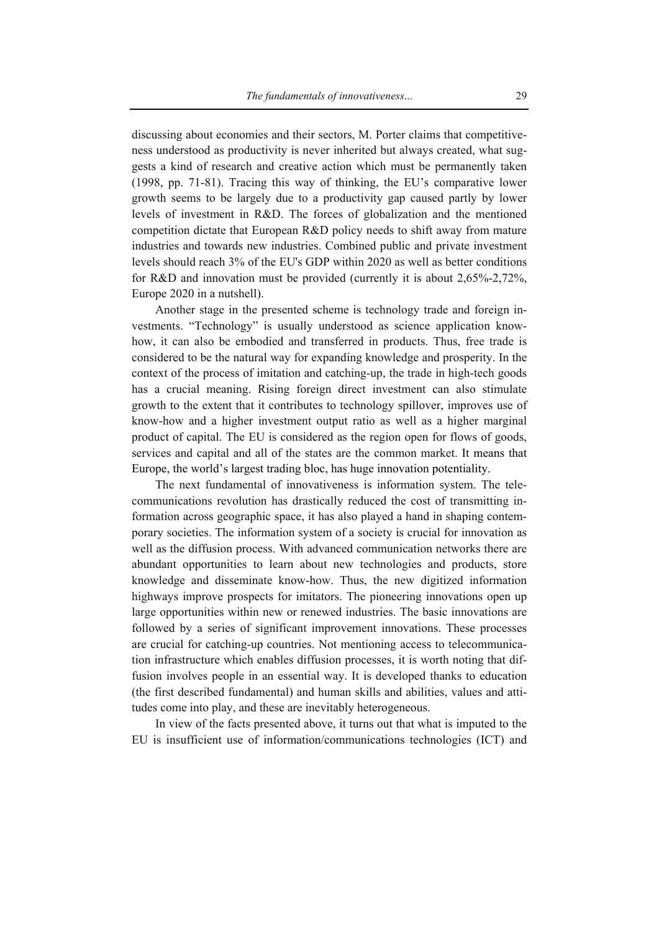discussing about economies and their sectors, M. Porter claims that competitiveness understood as productivity is never inherited but always created, what suggests a kind of research and creative action which must be permanently taken (1998, pp. 71-81). Tracing this way of thinking, the EU's comparative lower growth seems to be largely due to a productivity gap caused partly by lower levels of investment in R&D. The forces of globalization and the mentioned competition dictate that European R&D policy needs to shift away from mature industries and towards new industries. Combined public and private investment levels should reach 3% of the EU's GDP within 2020 as well as better conditions for R&D and innovation must be provided (currently it is about 2,65%-2,72%, Europe 2020 in a nutshell).

Another stage in the presented scheme is technology trade and foreign investments. "Technology" is usually understood as science application knowhow, it can also be embodied and transferred in products. Thus, free trade is considered to be the natural way for expanding knowledge and prosperity. In the context of the process of imitation and catching-up, the trade in high-tech goods has a crucial meaning. Rising foreign direct investment can also stimulate growth to the extent that it contributes to technology spillover, improves use of know-how and a higher investment output ratio as well as a higher marginal product of capital. The EU is considered as the region open for flows of goods, services and capital and all of the states are the common market. It means that Europe, the world's largest trading bloc, has huge innovation potentiality.

The next fundamental of innovativeness is information system. The telecommunications revolution has drastically reduced the cost of transmitting information across geographic space, it has also played a hand in shaping contemporary societies. The information system of a society is crucial for innovation as well as the diffusion process. With advanced communication networks there are abundant opportunities to learn about new technologies and products, store knowledge and disseminate know-how. Thus, the new digitized information highways improve prospects for imitators. The pioneering innovations open up large opportunities within new or renewed industries. The basic innovations are followed by a series of significant improvement innovations. These processes are crucial for catching-up countries. Not mentioning access to telecommunication infrastructure which enables diffusion processes, it is worth noting that diffusion involves people in an essential way. It is developed thanks to education (the first described fundamental) and human skills and abilities, values and attitudes come into play, and these are inevitably heterogeneous.

In view of the facts presented above, it turns out that what is imputed to the EU is insufficient use of information/communications technologies (ICT) and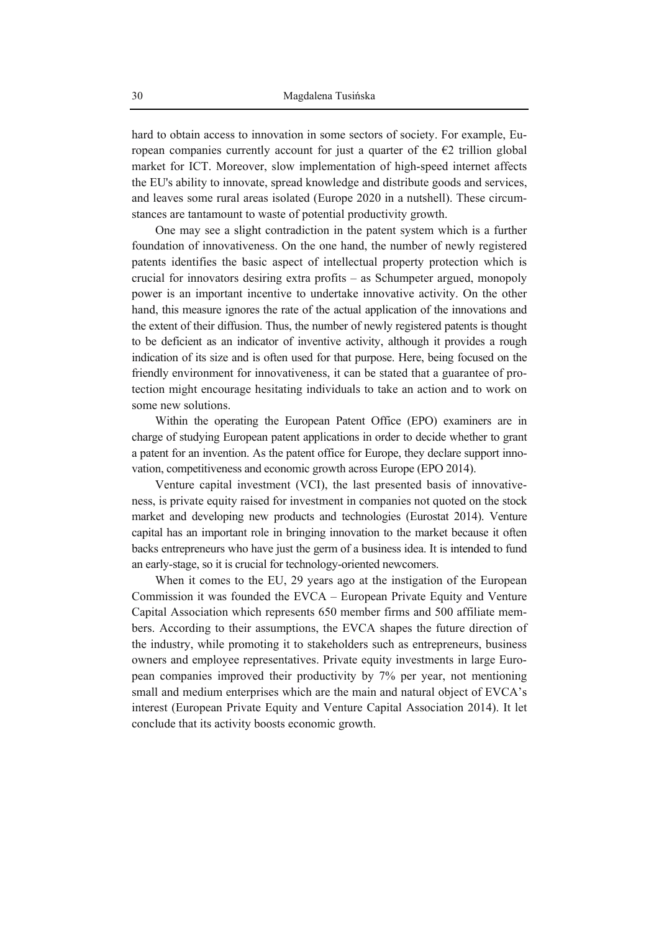hard to obtain access to innovation in some sectors of society. For example, European companies currently account for just a quarter of the  $\epsilon$ 2 trillion global market for ICT. Moreover, slow implementation of high-speed internet affects the EU's ability to innovate, spread knowledge and distribute goods and services, and leaves some rural areas isolated (Europe 2020 in a nutshell). These circumstances are tantamount to waste of potential productivity growth.

One may see a slight contradiction in the patent system which is a further foundation of innovativeness. On the one hand, the number of newly registered patents identifies the basic aspect of intellectual property protection which is crucial for innovators desiring extra profits – as Schumpeter argued, monopoly power is an important incentive to undertake innovative activity. On the other hand, this measure ignores the rate of the actual application of the innovations and the extent of their diffusion. Thus, the number of newly registered patents is thought to be deficient as an indicator of inventive activity, although it provides a rough indication of its size and is often used for that purpose. Here, being focused on the friendly environment for innovativeness, it can be stated that a guarantee of protection might encourage hesitating individuals to take an action and to work on some new solutions.

Within the operating the European Patent Office (EPO) examiners are in charge of studying European patent applications in order to decide whether to grant a patent for an invention. As the patent office for Europe, they declare support innovation, competitiveness and economic growth across Europe (EPO 2014).

Venture capital investment (VCI), the last presented basis of innovativeness, is private equity raised for investment in companies not quoted on the stock market and developing new products and technologies (Eurostat 2014). Venture capital has an important role in bringing innovation to the market because it often backs entrepreneurs who have just the germ of a business idea. It is intended to fund an early-stage, so it is crucial for technology-oriented newcomers.

When it comes to the EU, 29 years ago at the instigation of the European Commission it was founded the EVCA – European Private Equity and Venture Capital Association which represents 650 member firms and 500 affiliate members. According to their assumptions, the EVCA shapes the future direction of the industry, while promoting it to stakeholders such as entrepreneurs, business owners and employee representatives. Private equity investments in large European companies improved their productivity by 7% per year, not mentioning small and medium enterprises which are the main and natural object of EVCA's interest (European Private Equity and Venture Capital Association 2014). It let conclude that its activity boosts economic growth.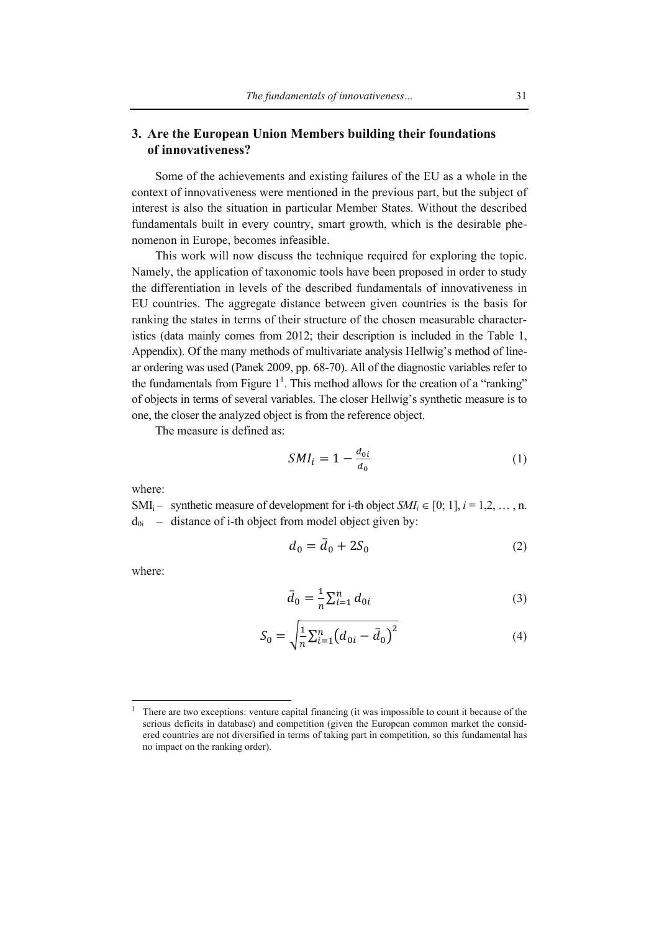## **3. Are the European Union Members building their foundations of innovativeness?**

Some of the achievements and existing failures of the EU as a whole in the context of innovativeness were mentioned in the previous part, but the subject of interest is also the situation in particular Member States. Without the described fundamentals built in every country, smart growth, which is the desirable phenomenon in Europe, becomes infeasible.

This work will now discuss the technique required for exploring the topic. Namely, the application of taxonomic tools have been proposed in order to study the differentiation in levels of the described fundamentals of innovativeness in EU countries. The aggregate distance between given countries is the basis for ranking the states in terms of their structure of the chosen measurable characteristics (data mainly comes from 2012; their description is included in the Table 1, Appendix). Of the many methods of multivariate analysis Hellwig's method of linear ordering was used (Panek 2009, pp. 68-70). All of the diagnostic variables refer to the fundamentals from Figure  $1<sup>1</sup>$ . This method allows for the creation of a "ranking" of objects in terms of several variables. The closer Hellwig's synthetic measure is to one, the closer the analyzed object is from the reference object.

The measure is defined as:

$$
SMI_i = 1 - \frac{d_{0i}}{d_0} \tag{1}
$$

where:

SMI<sub>i</sub> – synthetic measure of development for i-th object  $SMI_i \in [0, 1]$ ,  $i = 1, 2, ..., n$ .  $d_{0i}$  – distance of i-th object from model object given by:

$$
d_0 = \bar{d}_0 + 2S_0 \tag{2}
$$

where:

 $\overline{a}$ 

$$
\bar{d}_0 = \frac{1}{n} \sum_{i=1}^n d_{0i} \tag{3}
$$

$$
S_0 = \sqrt{\frac{1}{n} \sum_{i=1}^n (d_{0i} - \bar{d}_0)^2}
$$
 (4)

<sup>&</sup>lt;sup>1</sup> There are two exceptions: venture capital financing (it was impossible to count it because of the serious deficits in database) and competition (given the European common market the considered countries are not diversified in terms of taking part in competition, so this fundamental has no impact on the ranking order).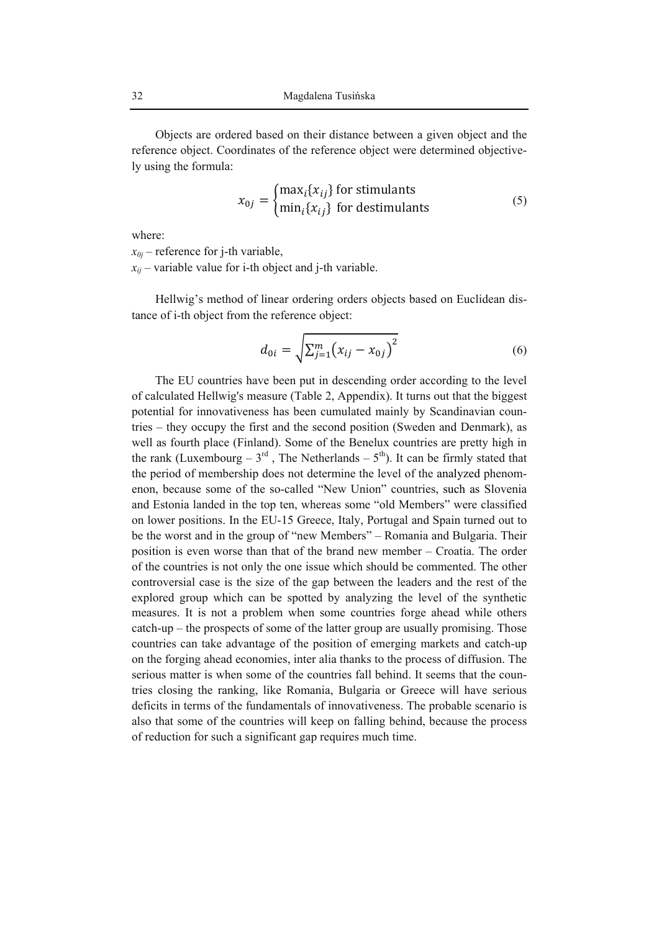Objects are ordered based on their distance between a given object and the reference object. Coordinates of the reference object were determined objectively using the formula:

$$
x_{0j} = \begin{cases} \max_i \{x_{ij}\} \text{ for stimulus} \\ \min_i \{x_{ij}\} \text{ for destinations} \end{cases}
$$
 (5)

where:

 $x_{0i}$  – reference for j-th variable,

 $x_{ii}$  – variable value for i-th object and j-th variable.

Hellwig's method of linear ordering orders objects based on Euclidean distance of i-th object from the reference object:

$$
d_{0i} = \sqrt{\sum_{j=1}^{m} (x_{ij} - x_{0j})^2}
$$
 (6)

The EU countries have been put in descending order according to the level of calculated Hellwig's measure (Table 2, Appendix). It turns out that the biggest potential for innovativeness has been cumulated mainly by Scandinavian countries – they occupy the first and the second position (Sweden and Denmark), as well as fourth place (Finland). Some of the Benelux countries are pretty high in the rank (Luxembourg –  $3^{rd}$ , The Netherlands –  $5^{th}$ ). It can be firmly stated that the period of membership does not determine the level of the analyzed phenomenon, because some of the so-called "New Union" countries, such as Slovenia and Estonia landed in the top ten, whereas some "old Members" were classified on lower positions. In the EU-15 Greece, Italy, Portugal and Spain turned out to be the worst and in the group of "new Members" – Romania and Bulgaria. Their position is even worse than that of the brand new member – Croatia. The order of the countries is not only the one issue which should be commented. The other controversial case is the size of the gap between the leaders and the rest of the explored group which can be spotted by analyzing the level of the synthetic measures. It is not a problem when some countries forge ahead while others catch-up – the prospects of some of the latter group are usually promising. Those countries can take advantage of the position of emerging markets and catch-up on the forging ahead economies, inter alia thanks to the process of diffusion. The serious matter is when some of the countries fall behind. It seems that the countries closing the ranking, like Romania, Bulgaria or Greece will have serious deficits in terms of the fundamentals of innovativeness. The probable scenario is also that some of the countries will keep on falling behind, because the process of reduction for such a significant gap requires much time.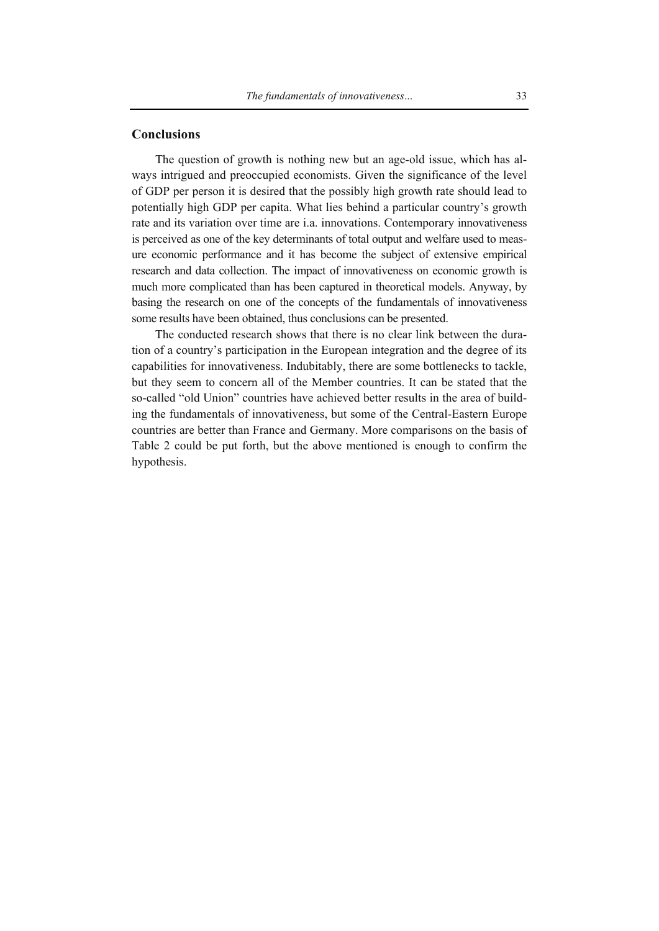#### **Conclusions**

The question of growth is nothing new but an age-old issue, which has always intrigued and preoccupied economists. Given the significance of the level of GDP per person it is desired that the possibly high growth rate should lead to potentially high GDP per capita. What lies behind a particular country's growth rate and its variation over time are i.a. innovations. Contemporary innovativeness is perceived as one of the key determinants of total output and welfare used to measure economic performance and it has become the subject of extensive empirical research and data collection. The impact of innovativeness on economic growth is much more complicated than has been captured in theoretical models. Anyway, by basing the research on one of the concepts of the fundamentals of innovativeness some results have been obtained, thus conclusions can be presented.

The conducted research shows that there is no clear link between the duration of a country's participation in the European integration and the degree of its capabilities for innovativeness. Indubitably, there are some bottlenecks to tackle, but they seem to concern all of the Member countries. It can be stated that the so-called "old Union" countries have achieved better results in the area of building the fundamentals of innovativeness, but some of the Central-Eastern Europe countries are better than France and Germany. More comparisons on the basis of Table 2 could be put forth, but the above mentioned is enough to confirm the hypothesis.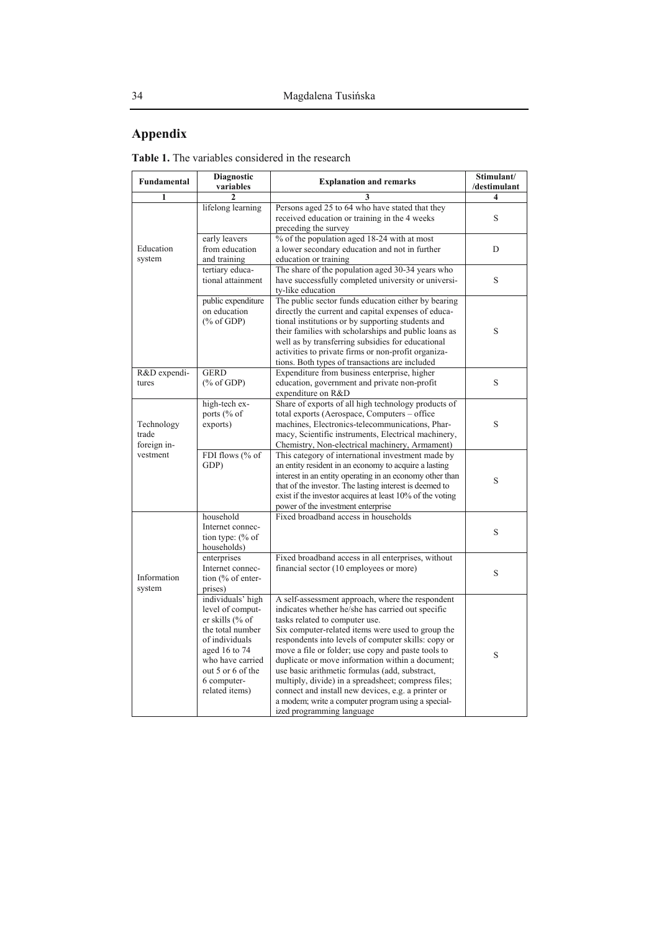# **Appendix**

**Table 1.** The variables considered in the research

| Fundamental                                    | <b>Diagnostic</b><br>variables                                                                                                                                                            | <b>Explanation and remarks</b>                                                                                                                                                                                                                                                                                                                                                                                                                                                                                                                                                                                  | Stimulant/<br>/destimulant |  |
|------------------------------------------------|-------------------------------------------------------------------------------------------------------------------------------------------------------------------------------------------|-----------------------------------------------------------------------------------------------------------------------------------------------------------------------------------------------------------------------------------------------------------------------------------------------------------------------------------------------------------------------------------------------------------------------------------------------------------------------------------------------------------------------------------------------------------------------------------------------------------------|----------------------------|--|
| 1                                              | 2                                                                                                                                                                                         | 3                                                                                                                                                                                                                                                                                                                                                                                                                                                                                                                                                                                                               | 4                          |  |
| Education<br>system                            | lifelong learning                                                                                                                                                                         | Persons aged 25 to 64 who have stated that they<br>received education or training in the 4 weeks<br>preceding the survey                                                                                                                                                                                                                                                                                                                                                                                                                                                                                        | S                          |  |
|                                                | early leavers<br>from education<br>and training                                                                                                                                           | % of the population aged 18-24 with at most<br>a lower secondary education and not in further<br>education or training                                                                                                                                                                                                                                                                                                                                                                                                                                                                                          | D                          |  |
|                                                | tertiary educa-<br>tional attainment                                                                                                                                                      | The share of the population aged 30-34 years who<br>have successfully completed university or universi-<br>ty-like education                                                                                                                                                                                                                                                                                                                                                                                                                                                                                    | S                          |  |
|                                                | public expenditure<br>on education<br>$(\%$ of GDP)                                                                                                                                       | The public sector funds education either by bearing<br>directly the current and capital expenses of educa-<br>tional institutions or by supporting students and<br>their families with scholarships and public loans as<br>well as by transferring subsidies for educational<br>activities to private firms or non-profit organiza-<br>tions. Both types of transactions are included                                                                                                                                                                                                                           | S                          |  |
| R&D expendi-<br>tures                          | <b>GERD</b><br>$(\%$ of GDP)                                                                                                                                                              | Expenditure from business enterprise, higher<br>education, government and private non-profit<br>expenditure on R&D                                                                                                                                                                                                                                                                                                                                                                                                                                                                                              | S                          |  |
| Technology<br>trade<br>foreign in-<br>vestment | high-tech ex-<br>ports (% of<br>exports)                                                                                                                                                  | Share of exports of all high technology products of<br>total exports (Aerospace, Computers – office<br>machines, Electronics-telecommunications, Phar-<br>macy, Scientific instruments, Electrical machinery,<br>Chemistry, Non-electrical machinery, Armament)                                                                                                                                                                                                                                                                                                                                                 | S                          |  |
|                                                | FDI flows (% of<br>GDP)                                                                                                                                                                   | This category of international investment made by<br>an entity resident in an economy to acquire a lasting<br>interest in an entity operating in an economy other than<br>that of the investor. The lasting interest is deemed to<br>exist if the investor acquires at least 10% of the voting<br>power of the investment enterprise                                                                                                                                                                                                                                                                            | S                          |  |
| Information<br>system                          | household<br>Internet connec-<br>tion type: $% of$<br>households)                                                                                                                         | Fixed broadband access in households                                                                                                                                                                                                                                                                                                                                                                                                                                                                                                                                                                            | S                          |  |
|                                                | enterprises<br>Internet connec-<br>tion (% of enter-<br>prises)                                                                                                                           | Fixed broadband access in all enterprises, without<br>financial sector (10 employees or more)                                                                                                                                                                                                                                                                                                                                                                                                                                                                                                                   | S                          |  |
|                                                | individuals' high<br>level of comput-<br>er skills (% of<br>the total number<br>of individuals<br>aged 16 to 74<br>who have carried<br>out 5 or 6 of the<br>6 computer-<br>related items) | A self-assessment approach, where the respondent<br>indicates whether he/she has carried out specific<br>tasks related to computer use.<br>Six computer-related items were used to group the<br>respondents into levels of computer skills: copy or<br>move a file or folder; use copy and paste tools to<br>duplicate or move information within a document;<br>use basic arithmetic formulas (add, substract,<br>multiply, divide) in a spreadsheet; compress files;<br>connect and install new devices, e.g. a printer or<br>a modem; write a computer program using a special-<br>ized programming language | S                          |  |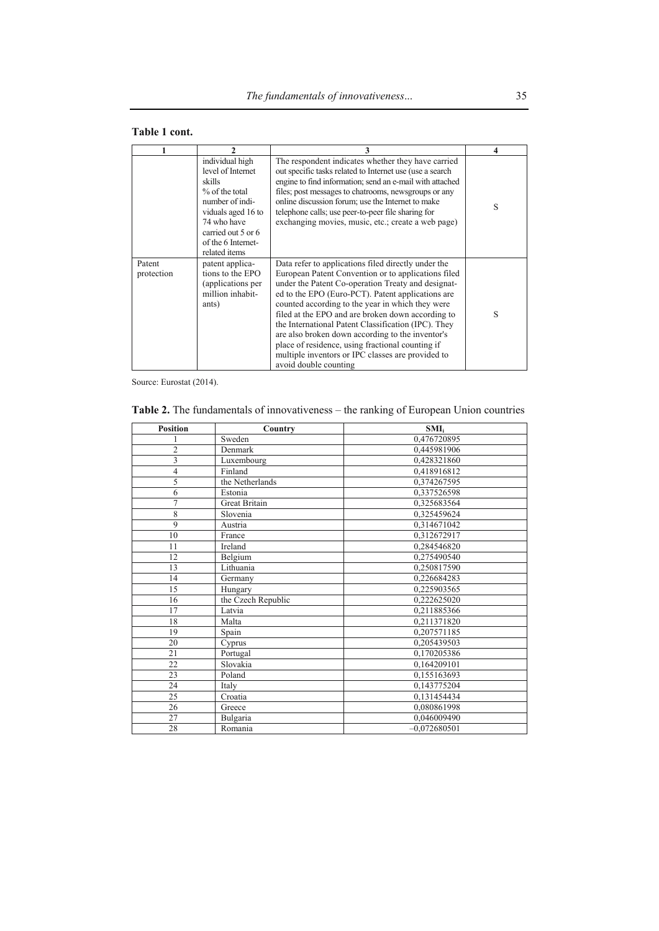## **Table 1 cont.**

|                      | $\mathfrak{D}$                                                                                                                                                                        | 3                                                                                                                                                                                                                                                                                                                                                                                                                                                                                                                                                                           | 4 |
|----------------------|---------------------------------------------------------------------------------------------------------------------------------------------------------------------------------------|-----------------------------------------------------------------------------------------------------------------------------------------------------------------------------------------------------------------------------------------------------------------------------------------------------------------------------------------------------------------------------------------------------------------------------------------------------------------------------------------------------------------------------------------------------------------------------|---|
|                      | individual high<br>level of Internet<br>skills<br>% of the total<br>number of indi-<br>viduals aged 16 to<br>74 who have<br>carried out 5 or 6<br>of the 6 Internet-<br>related items | The respondent indicates whether they have carried<br>out specific tasks related to Internet use (use a search)<br>engine to find information; send an e-mail with attached<br>files; post messages to chatrooms, newsgroups or any<br>online discussion forum; use the Internet to make<br>telephone calls; use peer-to-peer file sharing for<br>exchanging movies, music, etc.; create a web page)                                                                                                                                                                        | S |
| Patent<br>protection | patent applica-<br>tions to the EPO<br>(applications per<br>million inhabit-<br>ants)                                                                                                 | Data refer to applications filed directly under the<br>European Patent Convention or to applications filed<br>under the Patent Co-operation Treaty and designat-<br>ed to the EPO (Euro-PCT). Patent applications are<br>counted according to the year in which they were<br>filed at the EPO and are broken down according to<br>the International Patent Classification (IPC). They<br>are also broken down according to the inventor's<br>place of residence, using fractional counting if<br>multiple inventors or IPC classes are provided to<br>avoid double counting | S |

Source: Eurostat (2014).

## **Table 2.** The fundamentals of innovativeness – the ranking of European Union countries

| <b>Position</b> | Country            | $SMI_i$        |
|-----------------|--------------------|----------------|
|                 | Sweden             | 0,476720895    |
| $\overline{c}$  | Denmark            | 0,445981906    |
| 3               | Luxembourg         | 0,428321860    |
| $\overline{4}$  | Finland            | 0,418916812    |
| 5               | the Netherlands    | 0,374267595    |
| 6               | Estonia            | 0.337526598    |
| $\overline{7}$  | Great Britain      | 0,325683564    |
| 8               | Slovenia           | 0,325459624    |
| 9               | Austria            | 0,314671042    |
| 10              | France             | 0,312672917    |
| 11              | Ireland            | 0,284546820    |
| 12              | Belgium            | 0.275490540    |
| 13              | Lithuania          | 0,250817590    |
| 14              | Germany            | 0,226684283    |
| 15              | Hungary            | 0,225903565    |
| 16              | the Czech Republic | 0,222625020    |
| 17              | Latvia             | 0,211885366    |
| 18              | Malta              | 0,211371820    |
| 19              | Spain              | 0.207571185    |
| 20              | Cyprus             | 0,205439503    |
| 21              | Portugal           | 0,170205386    |
| 22              | Slovakia           | 0,164209101    |
| 23              | Poland             | 0.155163693    |
| 24              | Italy              | 0,143775204    |
| 25              | Croatia            | 0,131454434    |
| 26              | Greece             | 0,080861998    |
| 27              | Bulgaria           | 0,046009490    |
| 28              | Romania            | $-0.072680501$ |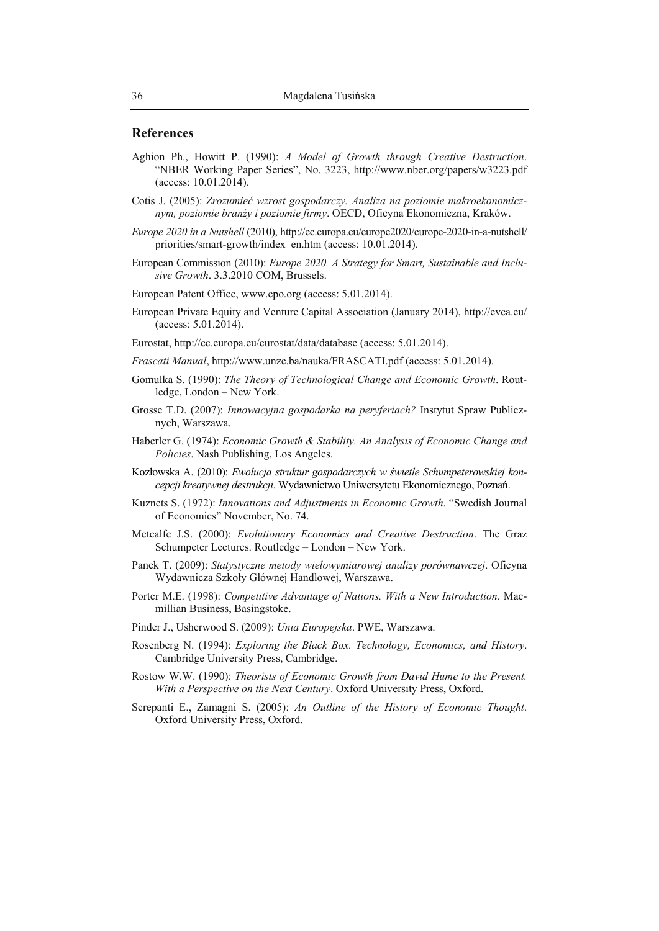#### **References**

- Aghion Ph., Howitt P. (1990): *A Model of Growth through Creative Destruction*. "NBER Working Paper Series", No. 3223, http://www.nber.org/papers/w3223.pdf (access: 10.01.2014).
- Cotis J. (2005): *Zrozumieć wzrost gospodarczy. Analiza na poziomie makroekonomicznym, poziomie branży i poziomie firmy*. OECD, Oficyna Ekonomiczna, Kraków.
- *Europe 2020 in a Nutshell* (2010), http://ec.europa.eu/europe2020/europe-2020-in-a-nutshell/ priorities/smart-growth/index\_en.htm (access: 10.01.2014).
- European Commission (2010): *Europe 2020. A Strategy for Smart, Sustainable and Inclusive Growth*. 3.3.2010 COM, Brussels.
- European Patent Office, www.epo.org (access: 5.01.2014).
- European Private Equity and Venture Capital Association (January 2014), http://evca.eu/ (access: 5.01.2014).
- Eurostat, http://ec.europa.eu/eurostat/data/database (access: 5.01.2014).
- *Frascati Manual*, http://www.unze.ba/nauka/FRASCATI.pdf (access: 5.01.2014).
- Gomulka S. (1990): *The Theory of Technological Change and Economic Growth*. Routledge, London – New York.
- Grosse T.D. (2007): *Innowacyjna gospodarka na peryferiach?* Instytut Spraw Publicznych, Warszawa.
- Haberler G. (1974): *Economic Growth & Stability. An Analysis of Economic Change and Policies*. Nash Publishing, Los Angeles.
- Kozłowska A. (2010): *Ewolucja struktur gospodarczych w świetle Schumpeterowskiej koncepcji kreatywnej destrukcji*. Wydawnictwo Uniwersytetu Ekonomicznego, Poznań.
- Kuznets S. (1972): *Innovations and Adjustments in Economic Growth*. "Swedish Journal of Economics" November, No. 74.
- Metcalfe J.S. (2000): *Evolutionary Economics and Creative Destruction*. The Graz Schumpeter Lectures. Routledge – London – New York.
- Panek T. (2009): *Statystyczne metody wielowymiarowej analizy porównawczej*. Oficyna Wydawnicza Szkoły Głównej Handlowej, Warszawa.
- Porter M.E. (1998): *Competitive Advantage of Nations. With a New Introduction*. Macmillian Business, Basingstoke.
- Pinder J., Usherwood S. (2009): *Unia Europejska*. PWE, Warszawa.
- Rosenberg N. (1994): *Exploring the Black Box. Technology, Economics, and History*. Cambridge University Press, Cambridge.
- Rostow W.W. (1990): *Theorists of Economic Growth from David Hume to the Present. With a Perspective on the Next Century*. Oxford University Press, Oxford.
- Screpanti E., Zamagni S. (2005): *An Outline of the History of Economic Thought*. Oxford University Press, Oxford.